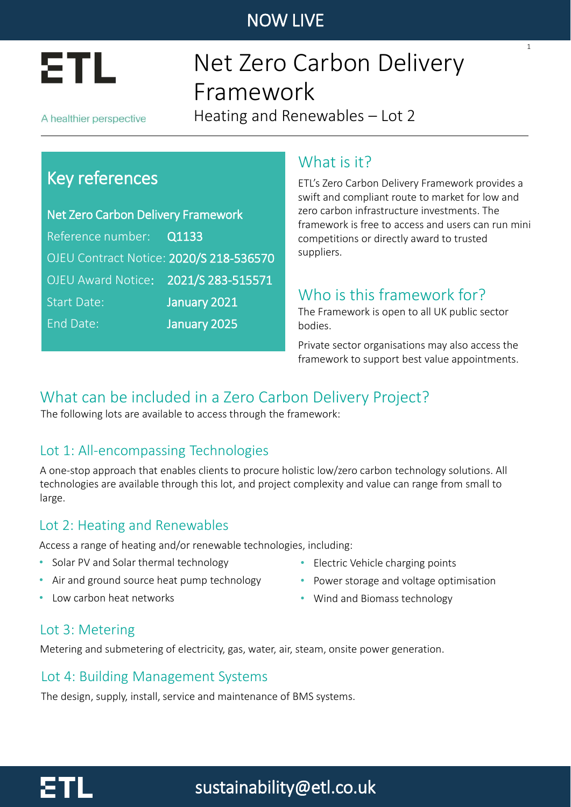

# Net Zero Carbon Delivery Framework

A healthier perspective

Heating and Renewables – Lot 2

## Key references

Net Zero Carbon Delivery Framework Reference number: Q1133 OJEU Contract Notice: 2020/S 218-536570 OJEU Award Notice: 2021/S 283-515571 Start Date: January 2021 End Date: January 2025

### What is it?

ETL's Zero Carbon Delivery Framework provides a swift and compliant route to market for low and zero carbon infrastructure investments. The framework is free to access and users can run mini competitions or directly award to trusted suppliers.

1

## Who is this framework for?

The Framework is open to all UK public sector bodies.

Private sector organisations may also access the framework to support best value appointments.

## What can be included in a Zero Carbon Delivery Project?

The following lots are available to access through the framework:

### Lot 1: All-encompassing Technologies

A one-stop approach that enables clients to procure holistic low/zero carbon technology solutions. All technologies are available through this lot, and project complexity and value can range from small to large.

#### Lot 2: Heating and Renewables

Access a range of heating and/or renewable technologies, including:

- Solar PV and Solar thermal technology
- Air and ground source heat pump technology
- Low carbon heat networks
- Electric Vehicle charging points
- Power storage and voltage optimisation
- Wind and Biomass technology

#### Lot 3: Metering

Metering and submetering of electricity, gas, water, air, steam, onsite power generation.

#### Lot 4: Building Management Systems

The design, supply, install, service and maintenance of BMS systems.

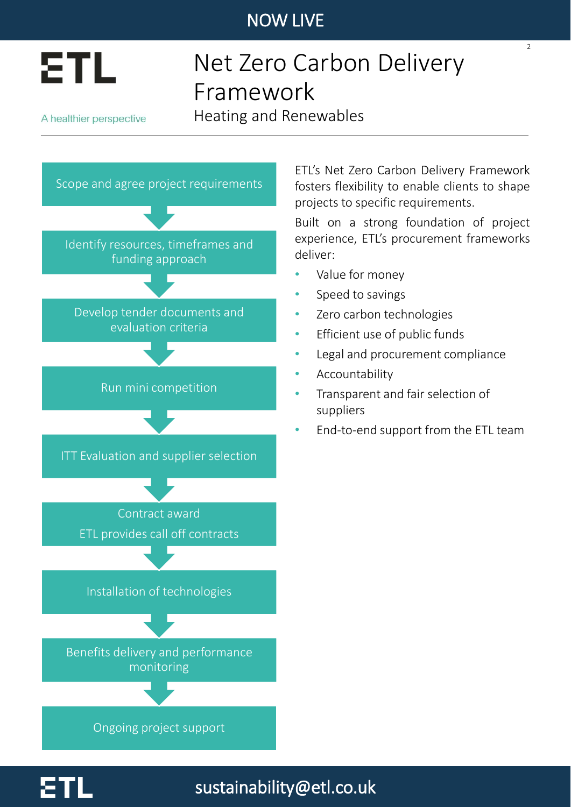

## Net Zero Carbon Delivery Framework

A healthier perspective

Heating and Renewables

sustainability@etl.co.uk



ETL's Net Zero Carbon Delivery Framework fosters flexibility to enable clients to shape projects to specific requirements.

 $\overline{2}$ 

Built on a strong foundation of project experience, ETL's procurement frameworks deliver:

- Value for money
- Speed to savings
- Zero carbon technologies
- Efficient use of public funds
- Legal and procurement compliance
- **Accountability**
- Transparent and fair selection of suppliers
- End-to-end support from the ETL team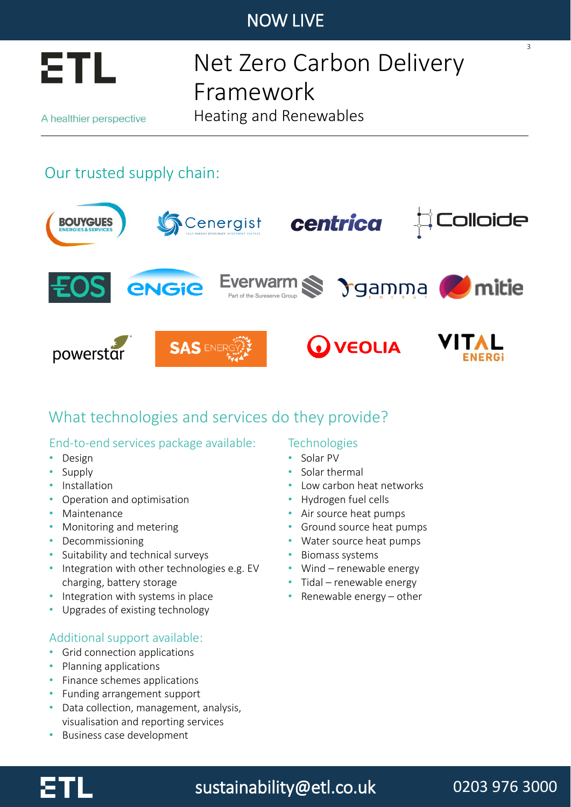

## Net Zero Carbon Delivery Framework

A healthier perspective

Heating and Renewables

## Our trusted supply chain:



## What technologies and services do they provide?

#### End-to-end services package available:

- Design
- Supply
- Installation
- Operation and optimisation
- Maintenance
- Monitoring and metering
- Decommissioning
- Suitability and technical surveys
- Integration with other technologies e.g. EV charging, battery storage
- Integration with systems in place
- Upgrades of existing technology

#### Additional support available:

- Grid connection applications
- Planning applications
- Finance schemes applications
- Funding arrangement support
- Data collection, management, analysis, visualisation and reporting services
- Business case development

#### **Technologies**

- Solar PV
- Solar thermal
- Low carbon heat networks
- Hydrogen fuel cells
- Air source heat pumps
- Ground source heat pumps
- Water source heat pumps
- Biomass systems
- Wind renewable energy
- Tidal renewable energy
- Renewable energy other



## sustainability@etl.co.uk

## 0203 976 3000

3